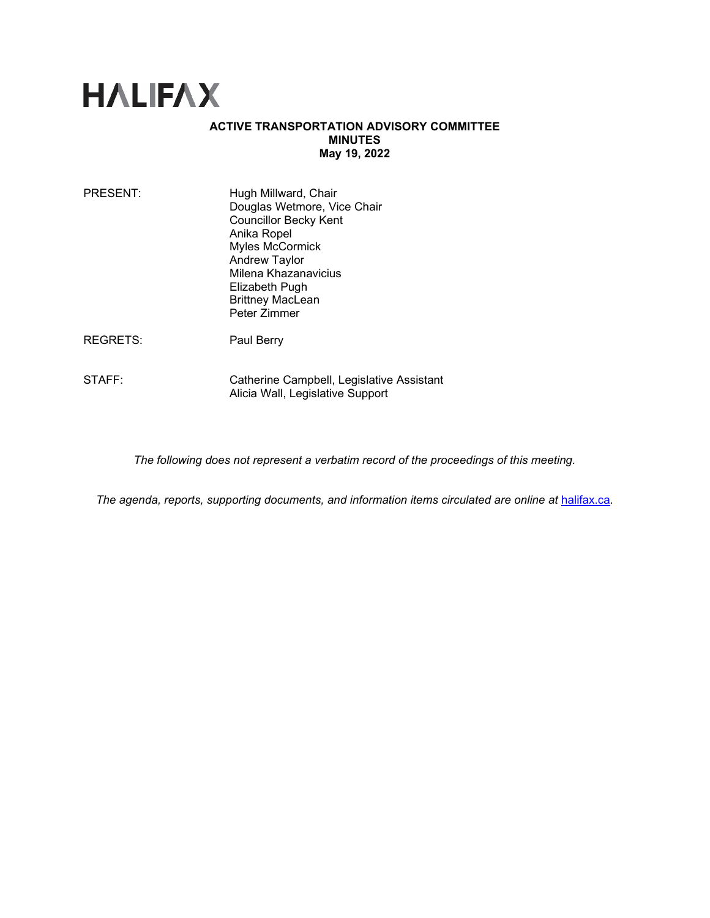# **HALIFAX**

### **ACTIVE TRANSPORTATION ADVISORY COMMITTEE MINUTES May 19, 2022**

| PRESENT: | Hugh Millward, Chair<br>Douglas Wetmore, Vice Chair<br><b>Councillor Becky Kent</b><br>Anika Ropel<br>Myles McCormick<br>Andrew Taylor<br>Milena Khazanavicius<br>Elizabeth Pugh<br><b>Brittney MacLean</b><br>Peter Zimmer |
|----------|-----------------------------------------------------------------------------------------------------------------------------------------------------------------------------------------------------------------------------|
|          |                                                                                                                                                                                                                             |

REGRETS: Paul Berry

STAFF: Catherine Campbell, Legislative Assistant Alicia Wall, Legislative Support

*The following does not represent a verbatim record of the proceedings of this meeting.*

*The agenda, reports, supporting documents, and information items circulated are online at [halifax.ca](http://www.halifax.ca/).*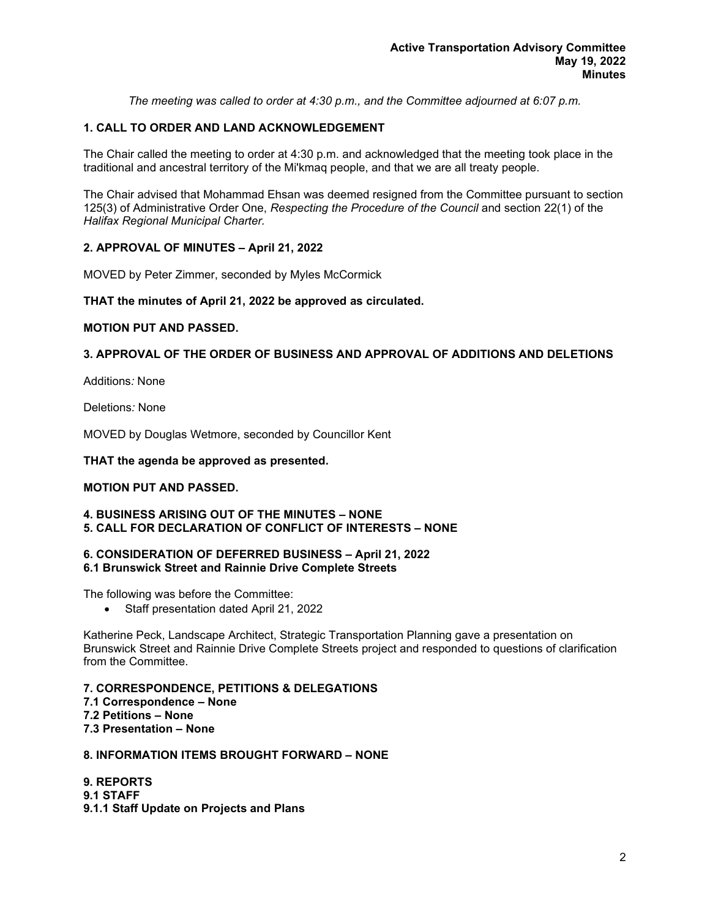*The meeting was called to order at 4:30 p.m., and the Committee adjourned at 6:07 p.m.*

# **1. CALL TO ORDER AND LAND ACKNOWLEDGEMENT**

The Chair called the meeting to order at 4:30 p.m. and acknowledged that the meeting took place in the traditional and ancestral territory of the Mi'kmaq people, and that we are all treaty people.

The Chair advised that Mohammad Ehsan was deemed resigned from the Committee pursuant to section 125(3) of Administrative Order One, *Respecting the Procedure of the Council* and section 22(1) of the *Halifax Regional Municipal Charter.*

# **2. APPROVAL OF MINUTES – April 21, 2022**

MOVED by Peter Zimmer, seconded by Myles McCormick

#### **THAT the minutes of April 21, 2022 be approved as circulated.**

#### **MOTION PUT AND PASSED.**

# **3. APPROVAL OF THE ORDER OF BUSINESS AND APPROVAL OF ADDITIONS AND DELETIONS**

Additions*:* None

Deletions*:* None

MOVED by Douglas Wetmore, seconded by Councillor Kent

#### **THAT the agenda be approved as presented.**

# **MOTION PUT AND PASSED.**

#### **4. BUSINESS ARISING OUT OF THE MINUTES – NONE 5. CALL FOR DECLARATION OF CONFLICT OF INTERESTS – NONE**

#### **6. CONSIDERATION OF DEFERRED BUSINESS – April 21, 2022 6.1 Brunswick Street and Rainnie Drive Complete Streets**

The following was before the Committee:

• Staff presentation dated April 21, 2022

Katherine Peck, Landscape Architect, Strategic Transportation Planning gave a presentation on Brunswick Street and Rainnie Drive Complete Streets project and responded to questions of clarification from the Committee.

**7. CORRESPONDENCE, PETITIONS & DELEGATIONS 7.1 Correspondence – None 7.2 Petitions – None 7.3 Presentation – None**

# **8. INFORMATION ITEMS BROUGHT FORWARD – NONE**

**9. REPORTS 9.1 STAFF 9.1.1 Staff Update on Projects and Plans**